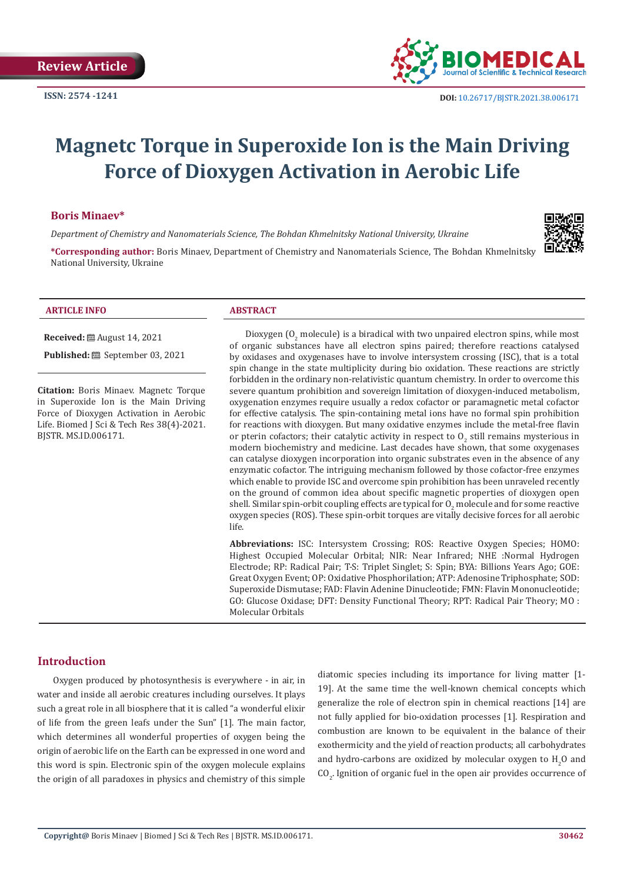

# **Magnetc Torque in Superoxide Ion is the Main Driving Force of Dioxygen Activation in Aerobic Life**

### **Boris Minaev\***

*Department of Chemistry and Nanomaterials Science, The Bohdan Khmelnitsky National University, Ukraine*

**\*Corresponding author:** Boris Minaev, Department of Chemistry and Nanomaterials Science, The Bohdan Khmelnitsky National University, Ukraine

|  | <b>ARTICLE INFO</b> |  |
|--|---------------------|--|

**Received:** August 14, 2021

**Published:** ■ September 03, 2021

**Citation:** Boris Minaev. Magnetc Torque in Superoxide Ion is the Main Driving Force of Dioxygen Activation in Aerobic Life. Biomed J Sci & Tech Res 38(4)-2021. BJSTR. MS.ID.006171.

### **ABSTRACT**

Dioxygen ( $O_2$  molecule) is a biradical with two unpaired electron spins, while most of organic substances have all electron spins paired; therefore reactions catalysed by oxidases and oxygenases have to involve intersystem crossing (ISC), that is a total spin change in the state multiplicity during bio oxidation. These reactions are strictly forbidden in the ordinary non-relativistic quantum chemistry. In order to overcome this severe quantum prohibition and sovereign limitation of dioxygen-induced metabolism, oxygenation enzymes require usually a redox cofactor or paramagnetic metal cofactor for effective catalysis. The spin-containing metal ions have no formal spin prohibition for reactions with dioxygen. But many oxidative enzymes include the metal-free flavin or pterin cofactors; their catalytic activity in respect to  $0_{2}$  still remains mysterious in modern biochemistry and medicine. Last decades have shown, that some oxygenases can catalyse dioxygen incorporation into organic substrates even in the absence of any enzymatic cofactor. The intriguing mechanism followed by those cofactor-free enzymes which enable to provide ISC and overcome spin prohibition has been unraveled recently on the ground of common idea about specific magnetic properties of dioxygen open shell. Similar spin-orbit coupling effects are typical for  $O_2$  molecule and for some reactive oxygen species (ROS). These spin-orbit torques are vitally decisive forces for all aerobic life.

**Abbreviations:** ISC: Intersystem Crossing; ROS: Reactive Oxygen Species; HOMO: Highest Occupied Molecular Orbital; NIR: Near Infrared; NHE :Normal Hydrogen Electrode; RP: Radical Pair; T-S: Triplet Singlet; S: Spin; BYA: Billions Years Ago; GOE: Great Oxygen Event; OP: Oxidative Phosphorilation; ATP: Adenosine Triphosphate; SOD: Superoxide Dismutase; FAD: Flavin Adenine Dinucleotide; FMN: Flavin Mononucleotide; GO: Glucose Oxidase; DFT: Density Functional Theory; RPT: Radical Pair Theory; MO : Molecular Orbitals

# **Introduction**

Oxygen produced by photosynthesis is everywhere - in air, in water and inside all aerobic creatures including ourselves. It plays such a great role in all biosphere that it is called "a wonderful elixir of life from the green leafs under the Sun" [1]. The main factor, which determines all wonderful properties of oxygen being the origin of aerobic life on the Earth can be expressed in one word and this word is spin. Electronic spin of the oxygen molecule explains the origin of all paradoxes in physics and chemistry of this simple

diatomic species including its importance for living matter [1- 19]. At the same time the well-known chemical concepts which generalize the role of electron spin in chemical reactions [14] are not fully applied for bio-oxidation processes [1]. Respiration and combustion are known to be equivalent in the balance of their exothermicity and the yield of reaction products; all carbohydrates and hydro-carbons are oxidized by molecular oxygen to  $H_2O$  and  $CO_{2}$ . Ignition of organic fuel in the open air provides occurrence of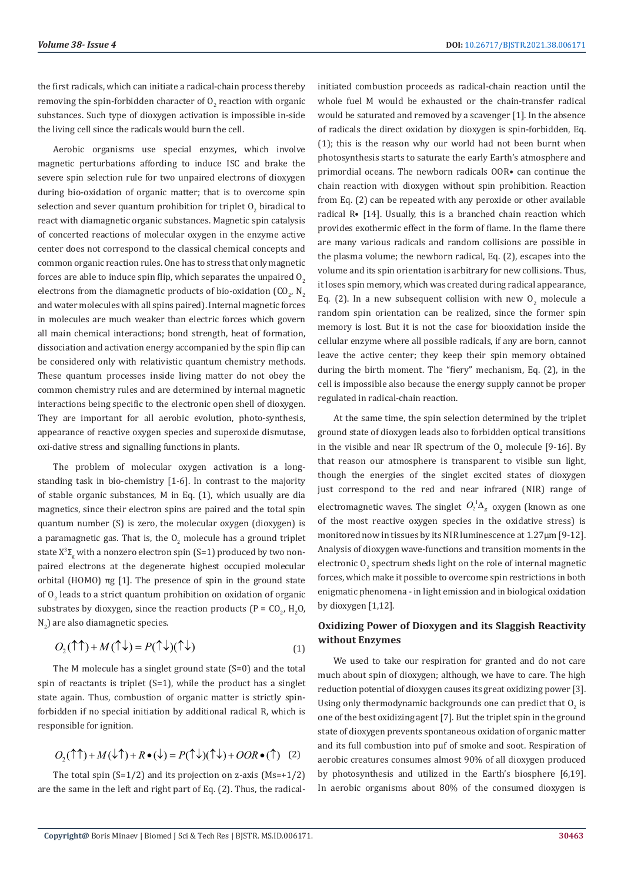the first radicals, which can initiate a radical-chain process thereby removing the spin-forbidden character of  $0_{2}$  reaction with organic substances. Such type of dioxygen activation is impossible in-side the living cell since the radicals would burn the cell.

Aerobic organisms use special enzymes, which involve magnetic perturbations affording to induce ISC and brake the severe spin selection rule for two unpaired electrons of dioxygen during bio-oxidation of organic matter; that is to overcome spin selection and sever quantum prohibition for triplet  $\mathrm{O}_2$  biradical to react with diamagnetic organic substances. Magnetic spin catalysis of concerted reactions of molecular oxygen in the enzyme active center does not correspond to the classical chemical concepts and common organic reaction rules. One has to stress that only magnetic forces are able to induce spin flip, which separates the unpaired  $0<sub>2</sub>$ electrons from the diamagnetic products of bio-oxidation  $(\mathsf{CO}_{2},\,\mathsf{N}_2)$ and water molecules with all spins paired). Internal magnetic forces in molecules are much weaker than electric forces which govern all main chemical interactions; bond strength, heat of formation, dissociation and activation energy accompanied by the spin flip can be considered only with relativistic quantum chemistry methods. These quantum processes inside living matter do not obey the common chemistry rules and are determined by internal magnetic interactions being specific to the electronic open shell of dioxygen. They are important for all aerobic evolution, photo-synthesis, appearance of reactive oxygen species and superoxide dismutase, oxi-dative stress and signalling functions in plants.

The problem of molecular oxygen activation is a longstanding task in bio-chemistry [1-6]. In contrast to the majority of stable organic substances, M in Eq. (1), which usually are dia magnetics, since their electron spins are paired and the total spin quantum number (S) is zero, the molecular oxygen (dioxygen) is a paramagnetic gas. That is, the  $0<sub>2</sub>$  molecule has a ground triplet state  $X^3\Sigma_{\rm g}$  with a nonzero electron spin (S=1) produced by two nonpaired electrons at the degenerate highest occupied molecular orbital (HOMO) πg [1]. The presence of spin in the ground state of  $O<sub>2</sub>$  leads to a strict quantum prohibition on oxidation of organic substrates by dioxygen, since the reaction products ( $P = CO_2$ ,  $H_2O$ ,  $N_{2}$ ) are also diamagnetic species.

$$
O_2(\uparrow \uparrow) + M(\uparrow \downarrow) = P(\uparrow \downarrow)(\uparrow \downarrow)
$$
\n<sup>(1)</sup>

The M molecule has a singlet ground state (S=0) and the total spin of reactants is triplet (S=1), while the product has a singlet state again. Thus, combustion of organic matter is strictly spinforbidden if no special initiation by additional radical R, which is responsible for ignition.

$$
O_2(\uparrow \uparrow) + M(\downarrow \uparrow) + R \bullet (\downarrow) = P(\uparrow \downarrow)(\uparrow \downarrow) + OOR \bullet (\uparrow)
$$
 (2)

The total spin  $(S=1/2)$  and its projection on z-axis  $(Ms=+1/2)$ are the same in the left and right part of Eq. (2). Thus, the radicalinitiated combustion proceeds as radical-chain reaction until the whole fuel M would be exhausted or the chain-transfer radical would be saturated and removed by a scavenger [1]. In the absence of radicals the direct oxidation by dioxygen is spin-forbidden, Eq. (1); this is the reason why our world had not been burnt when photosynthesis starts to saturate the early Earth's atmosphere and primordial oceans. The newborn radicals OOR• can continue the chain reaction with dioxygen without spin prohibition. Reaction from Eq. (2) can be repeated with any peroxide or other available radical R• [14]. Usually, this is a branched chain reaction which provides exothermic effect in the form of flame. In the flame there are many various radicals and random collisions are possible in the plasma volume; the newborn radical, Eq. (2), escapes into the volume and its spin orientation is arbitrary for new collisions. Thus, it loses spin memory, which was created during radical appearance, Eq. (2). In a new subsequent collision with new  $O_2$  molecule a random spin orientation can be realized, since the former spin memory is lost. But it is not the case for biooxidation inside the cellular enzyme where all possible radicals, if any are born, cannot leave the active center; they keep their spin memory obtained during the birth moment. The "fiery" mechanism, Eq. (2), in the cell is impossible also because the energy supply cannot be proper regulated in radical-chain reaction.

At the same time, the spin selection determined by the triplet ground state of dioxygen leads also to forbidden optical transitions in the visible and near IR spectrum of the  $0_{2}$  molecule [9-16]. By that reason our atmosphere is transparent to visible sun light, though the energies of the singlet excited states of dioxygen just correspond to the red and near infrared (NIR) range of electromagnetic waves. The singlet  $O_2^1 \Delta_g$  oxygen (known as one of the most reactive oxygen species in the oxidative stress) is monitored now in tissues by its NIR luminescence at 1.27μm [9-12]. Analysis of dioxygen wave-functions and transition moments in the electronic  $O_2$  spectrum sheds light on the role of internal magnetic forces, which make it possible to overcome spin restrictions in both enigmatic phenomena - in light emission and in biological oxidation by dioxygen [1,12].

## **Oxidizing Power of Dioxygen and its Slaggish Reactivity without Enzymes**

We used to take our respiration for granted and do not care much about spin of dioxygen; although, we have to care. The high reduction potential of dioxygen causes its great oxidizing power [3]. Using only thermodynamic backgrounds one can predict that  $O_2$  is one of the best oxidizing agent [7]. But the triplet spin in the ground state of dioxygen prevents spontaneous oxidation of organic matter and its full combustion into puf of smoke and soot. Respiration of aerobic creatures consumes almost 90% of all dioxygen produced by photosynthesis and utilized in the Earth's biosphere [6,19]. In aerobic organisms about 80% of the consumed dioxygen is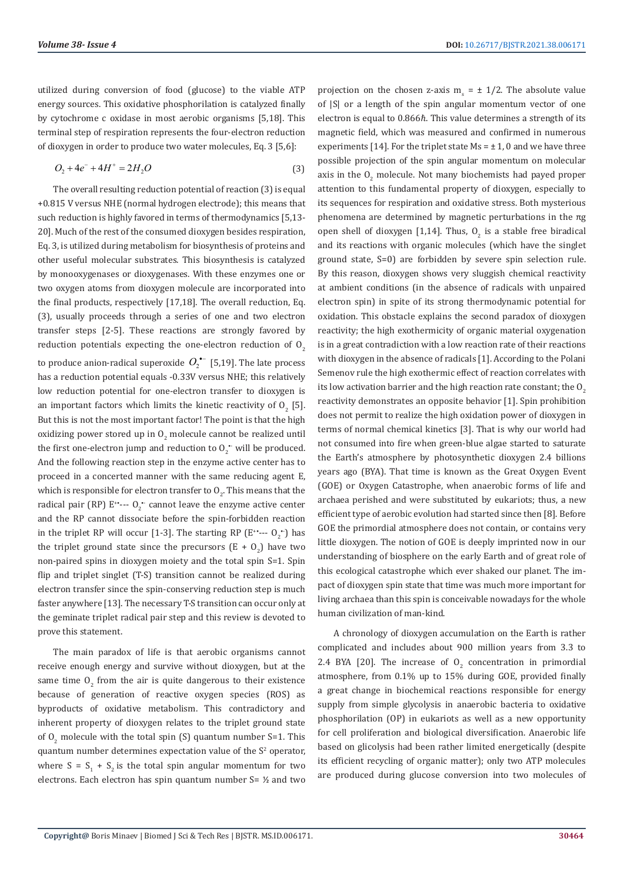utilized during conversion of food (glucose) to the viable ATP energy sources. This oxidative phosphorilation is catalyzed finally by cytochrome c oxidase in most aerobic organisms [5,18]. This terminal step of respiration represents the four-electron reduction of dioxygen in order to produce two water molecules, Eq. 3 [5,6]:

$$
O_2 + 4e^- + 4H^+ = 2H_2O
$$
\n(3)

The overall resulting reduction potential of reaction (3) is equal +0.815 V versus NHE (normal hydrogen electrode); this means that such reduction is highly favored in terms of thermodynamics [5,13- 20]. Much of the rest of the consumed dioxygen besides respiration, Eq. 3, is utilized during metabolism for biosynthesis of proteins and other useful molecular substrates. This biosynthesis is catalyzed by monooxygenases or dioxygenases. With these enzymes one or two oxygen atoms from dioxygen molecule are incorporated into the final products, respectively [17,18]. The overall reduction, Eq. (3), usually proceeds through a series of one and two electron transfer steps [2-5]. These reactions are strongly favored by reduction potentials expecting the one-electron reduction of  $O<sub>2</sub>$ to produce anion-radical superoxide  $O^{--}_2$  [5,19]. The late process has a reduction potential equals -0.33V versus NHE; this relatively low reduction potential for one-electron transfer to dioxygen is an important factors which limits the kinetic reactivity of  $O_2$  [5]. But this is not the most important factor! The point is that the high oxidizing power stored up in  $O_2$  molecule cannot be realized until the first one-electron jump and reduction to  $0<sub>2</sub>$  will be produced. And the following reaction step in the enzyme active center has to proceed in a concerted manner with the same reducing agent E, which is responsible for electron transfer to  $O_2$ . This means that the radical pair (RP)  $E^{\ast}$ ---  $O_2^{\ast}$  cannot leave the enzyme active center and the RP cannot dissociate before the spin-forbidden reaction in the triplet RP will occur [1-3]. The starting RP  $(E^{**}-- O_2^*)$  has the triplet ground state since the precursors  $(E + O_2)$  have two non-paired spins in dioxygen moiety and the total spin S=1. Spin flip and triplet singlet (T-S) transition cannot be realized during electron transfer since the spin-conserving reduction step is much faster anywhere [13]. The necessary T-S transition can occur only at the geminate triplet radical pair step and this review is devoted to prove this statement.

The main paradox of life is that aerobic organisms cannot receive enough energy and survive without dioxygen, but at the same time  $O_2$  from the air is quite dangerous to their existence because of generation of reactive oxygen species (ROS) as byproducts of oxidative metabolism. This contradictory and inherent property of dioxygen relates to the triplet ground state of  $O_2$  molecule with the total spin (S) quantum number S=1. This quantum number determines expectation value of the  $S<sup>2</sup>$  operator, where  $S = S_1 + S_2$  is the total spin angular momentum for two electrons. Each electron has spin quantum number S= ½ and two

projection on the chosen z-axis  $m_s = \pm 1/2$ . The absolute value of |S| or a length of the spin angular momentum vector of one electron is equal to 0.866ℏ. This value determines a strength of its magnetic field, which was measured and confirmed in numerous experiments [14]. For the triplet state  $Ms = ± 1$ , 0 and we have three possible projection of the spin angular momentum on molecular axis in the  $0_2$  molecule. Not many biochemists had payed proper attention to this fundamental property of dioxygen, especially to its sequences for respiration and oxidative stress. Both mysterious phenomena are determined by magnetic perturbations in the πg open shell of dioxygen [1,14]. Thus,  $O_2$  is a stable free biradical and its reactions with organic molecules (which have the singlet ground state, S=0) are forbidden by severe spin selection rule. By this reason, dioxygen shows very sluggish chemical reactivity at ambient conditions (in the absence of radicals with unpaired electron spin) in spite of its strong thermodynamic potential for oxidation. This obstacle explains the second paradox of dioxygen reactivity; the high exothermicity of organic material oxygenation is in a great contradiction with a low reaction rate of their reactions with dioxygen in the absence of radicals [1]. According to the Polani Semenov rule the high exothermic effect of reaction correlates with its low activation barrier and the high reaction rate constant; the  $O<sub>2</sub>$ reactivity demonstrates an opposite behavior [1]. Spin prohibition does not permit to realize the high oxidation power of dioxygen in terms of normal chemical kinetics [3]. That is why our world had not consumed into fire when green-blue algae started to saturate the Earth's atmosphere by photosynthetic dioxygen 2.4 billions years ago (BYA). That time is known as the Great Oxygen Event (GOE) or Oxygen Catastrophe, when anaerobic forms of life and archaea perished and were substituted by eukariots; thus, a new efficient type of aerobic evolution had started since then [8]. Before GOE the primordial atmosphere does not contain, or contains very little dioxygen. The notion of GOE is deeply imprinted now in our understanding of biosphere on the early Earth and of great role of this ecological catastrophe which ever shaked our planet. The impact of dioxygen spin state that time was much more important for living archaea than this spin is conceivable nowadays for the whole human civilization of man-kind.

A chronology of dioxygen accumulation on the Earth is rather complicated and includes about 900 million years from 3.3 to 2.4 BYA [20]. The increase of  $O_2$  concentration in primordial atmosphere, from 0.1% up to 15% during GOE, provided finally a great change in biochemical reactions responsible for energy supply from simple glycolysis in anaerobic bacteria to oxidative phosphorilation (OP) in eukariots as well as a new opportunity for cell proliferation and biological diversification. Anaerobic life based on glicolysis had been rather limited energetically (despite its efficient recycling of organic matter); only two ATP molecules are produced during glucose conversion into two molecules of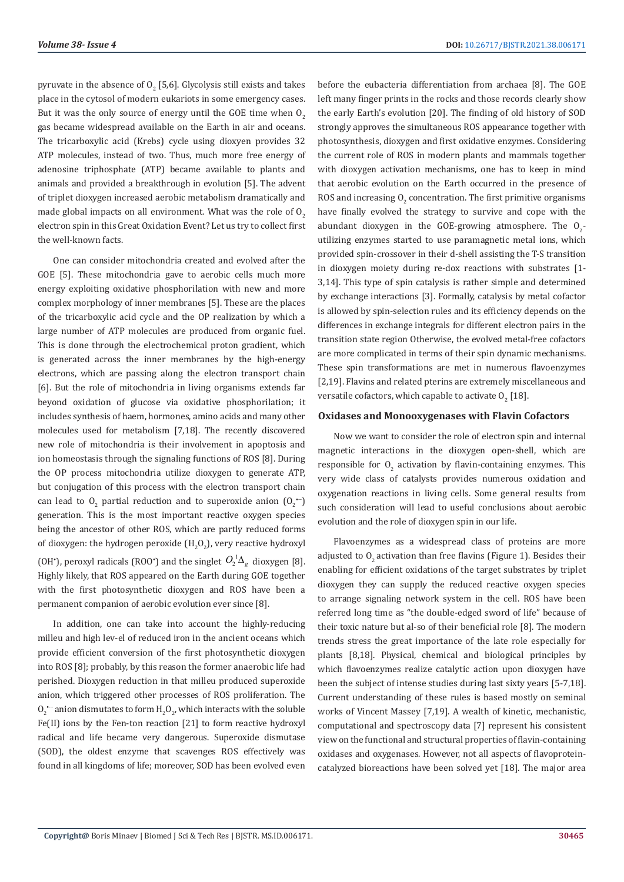pyruvate in the absence of  $0_{2}^{\circ}$  [5,6]. Glycolysis still exists and takes place in the cytosol of modern eukariots in some emergency cases. But it was the only source of energy until the GOE time when  $O<sub>2</sub>$ gas became widespread available on the Earth in air and oceans. The tricarboxylic acid (Krebs) cycle using dioxyen provides 32 ATP molecules, instead of two. Thus, much more free energy of adenosine triphosphate (ATP) became available to plants and animals and provided a breakthrough in evolution [5]. The advent of triplet dioxygen increased aerobic metabolism dramatically and made global impacts on all environment. What was the role of  $O<sub>2</sub>$ electron spin in this Great Oxidation Event? Let us try to collect first the well-known facts.

One can consider mitochondria created and evolved after the GOE [5]. These mitochondria gave to aerobic cells much more energy exploiting oxidative phosphorilation with new and more complex morphology of inner membranes [5]. These are the places of the tricarboxylic acid cycle and the OP realization by which a large number of ATP molecules are produced from organic fuel. This is done through the electrochemical proton gradient, which is generated across the inner membranes by the high-energy electrons, which are passing along the electron transport chain [6]. But the role of mitochondria in living organisms extends far beyond oxidation of glucose via oxidative phosphorilation; it includes synthesis of haem, hormones, amino acids and many other molecules used for metabolism [7,18]. The recently discovered new role of mitochondria is their involvement in apoptosis and ion homeostasis through the signaling functions of ROS [8]. During the OP process mitochondria utilize dioxygen to generate ATP, but conjugation of this process with the electron transport chain can lead to  $0_2$  partial reduction and to superoxide anion  $(0_2^{\bullet -})$ generation. This is the most important reactive oxygen species being the ancestor of other ROS, which are partly reduced forms of dioxygen: the hydrogen peroxide  $\rm (H_2O_2)$ , very reactive hydroxyl (OH<sup>•</sup>), peroxyl radicals (ROO<sup>•</sup>) and the singlet  $O_2^1\Delta_g$  dioxygen [8]. Highly likely, that ROS appeared on the Earth during GOE together with the first photosynthetic dioxygen and ROS have been a permanent companion of aerobic evolution ever since [8].

In addition, one can take into account the highly-reducing milleu and high lev-el of reduced iron in the ancient oceans which provide efficient conversion of the first photosynthetic dioxygen into ROS [8]; probably, by this reason the former anaerobic life had perished. Dioxygen reduction in that milleu produced superoxide anion, which triggered other processes of ROS proliferation. The  $0<sub>2</sub>$  anion dismutates to form  $\mathrm{H}_{2}\mathrm{O}_{2}$ , which interacts with the soluble Fe(II) ions by the Fen-ton reaction [21] to form reactive hydroxyl radical and life became very dangerous. Superoxide dismutase (SOD), the oldest enzyme that scavenges ROS effectively was found in all kingdoms of life; moreover, SOD has been evolved even

before the eubacteria differentiation from archaea [8]. The GOE left many finger prints in the rocks and those records clearly show the early Earth's evolution [20]. The finding of old history of SOD strongly approves the simultaneous ROS appearance together with photosynthesis, dioxygen and first oxidative enzymes. Considering the current role of ROS in modern plants and mammals together with dioxygen activation mechanisms, one has to keep in mind that aerobic evolution on the Earth occurred in the presence of ROS and increasing  $0_{2}$  concentration. The first primitive organisms have finally evolved the strategy to survive and cope with the abundant dioxygen in the GOE-growing atmosphere. The  $O_{2}$ utilizing enzymes started to use paramagnetic metal ions, which provided spin-crossover in their d-shell assisting the T-S transition in dioxygen moiety during re-dox reactions with substrates [1- 3,14]. This type of spin catalysis is rather simple and determined by exchange interactions [3]. Formally, catalysis by metal cofactor is allowed by spin-selection rules and its efficiency depends on the differences in exchange integrals for different electron pairs in the transition state region Otherwise, the evolved metal-free cofactors are more complicated in terms of their spin dynamic mechanisms. These spin transformations are met in numerous flavoenzymes [2,19]. Flavins and related pterins are extremely miscellaneous and versatile cofactors, which capable to activate  $0_{\tiny 2}$  [18].

## **Oxidases and Monooxygenases with Flavin Cofactors**

Now we want to consider the role of electron spin and internal magnetic interactions in the dioxygen open-shell, which are responsible for  $O_2$  activation by flavin-containing enzymes. This very wide class of catalysts provides numerous oxidation and oxygenation reactions in living cells. Some general results from such consideration will lead to useful conclusions about aerobic evolution and the role of dioxygen spin in our life.

Flavoenzymes as a widespread class of proteins are more adjusted to  $O<sub>2</sub>$  activation than free flavins (Figure 1). Besides their enabling for efficient oxidations of the target substrates by triplet dioxygen they can supply the reduced reactive oxygen species to arrange signaling network system in the cell. ROS have been referred long time as "the double-edged sword of life" because of their toxic nature but al-so of their beneficial role [8]. The modern trends stress the great importance of the late role especially for plants [8,18]. Physical, chemical and biological principles by which flavoenzymes realize catalytic action upon dioxygen have been the subject of intense studies during last sixty years [5-7,18]. Current understanding of these rules is based mostly on seminal works of Vincent Massey [7,19]. A wealth of kinetic, mechanistic, computational and spectroscopy data [7] represent his consistent view on the functional and structural properties of flavin-containing oxidases and oxygenases. However, not all aspects of flavoproteincatalyzed bioreactions have been solved yet [18]. The major area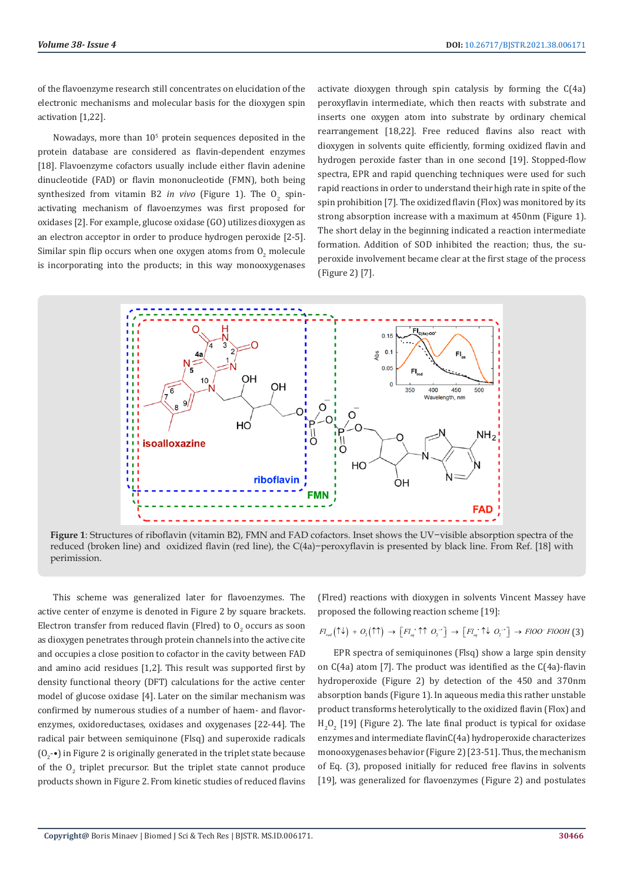of the flavoenzyme research still concentrates on elucidation of the electronic mechanisms and molecular basis for the dioxygen spin activation [1,22].

Nowadays, more than  $10<sup>5</sup>$  protein sequences deposited in the protein database are considered as flavin-dependent enzymes [18]. Flavoenzyme cofactors usually include either flavin adenine dinucleotide (FAD) or flavin mononucleotide (FMN), both being synthesized from vitamin B2 *in vivo* (Figure 1). The  $O_2$  spinactivating mechanism of flavoenzymes was first proposed for oxidases [2]. For example, glucose oxidase (GO) utilizes dioxygen as an electron acceptor in order to produce hydrogen peroxide [2-5]. Similar spin flip occurs when one oxygen atoms from  $0_{2}$  molecule is incorporating into the products; in this way monooxygenases

activate dioxygen through spin catalysis by forming the C(4a) peroxyflavin intermediate, which then reacts with substrate and inserts one oxygen atom into substrate by ordinary chemical rearrangement [18,22]. Free reduced flavins also react with dioxygen in solvents quite efficiently, forming oxidized flavin and hydrogen peroxide faster than in one second [19]. Stopped-flow spectra. EPR and rapid quenching techniques were used for such rapid reactions in order to understand their high rate in spite of the spin prohibition [7]. The oxidized flavin (Flox) was monitored by its strong absorption increase with a maximum at 450nm (Figure 1). The short delay in the beginning indicated a reaction intermediate formation. Addition of SOD inhibited the reaction; thus, the superoxide involvement became clear at the first stage of the process (Figure 2) [7].



**Figure 1**: Structures of riboflavin (vitamin B2), FMN and FAD cofactors. Inset shows the UV−visible absorption spectra of the reduced (broken line) and oxidized flavin (red line), the C(4a)−peroxyflavin is presented by black line. From Ref. [18] with perimission.

This scheme was generalized later for flavoenzymes. The active center of enzyme is denoted in Figure 2 by square brackets. Electron transfer from reduced flavin (Fired) to  $O_2$  occurs as soon as dioxygen penetrates through protein channels into the active cite and occupies a close position to cofactor in the cavity between FAD and amino acid residues [1,2]. This result was supported first by density functional theory (DFT) calculations for the active center model of glucose oxidase [4]. Later on the similar mechanism was confirmed by numerous studies of a number of haem- and flavorenzymes, oxidoreductases, oxidases and oxygenases [22-44]. The radical pair between semiquinone (Flsq) and superoxide radicals  $(0<sub>2</sub>$  •) in Figure 2 is originally generated in the triplet state because of the  $O_2$  triplet precursor. But the triplet state cannot produce products shown in Figure 2. From kinetic studies of reduced flavins

(Flred) reactions with dioxygen in solvents Vincent Massey have proposed the following reaction scheme [19]:

$$
Fl_{red}(\uparrow \downarrow) + O_2(\uparrow \uparrow) \rightarrow [Fl_{sq} \uparrow \uparrow O_2] \rightarrow [Fl_{sq} \uparrow \downarrow O_2] \rightarrow FIOO \uparrow FIOOH(3)
$$

EPR spectra of semiquinones (Flsq) show a large spin density on C(4a) atom [7]. The product was identified as the C(4a)-flavin hydroperoxide (Figure 2) by detection of the 450 and 370nm absorption bands (Figure 1). In aqueous media this rather unstable product transforms heterolytically to the oxidized flavin (Flox) and  $H_2O_2$  [19] (Figure 2). The late final product is typical for oxidase enzymes and intermediate flavinC(4a) hydroperoxide characterizes monooxygenases behavior (Figure 2) [23-51]. Thus, the mechanism of Eq. (3), proposed initially for reduced free flavins in solvents [19], was generalized for flavoenzymes (Figure 2) and postulates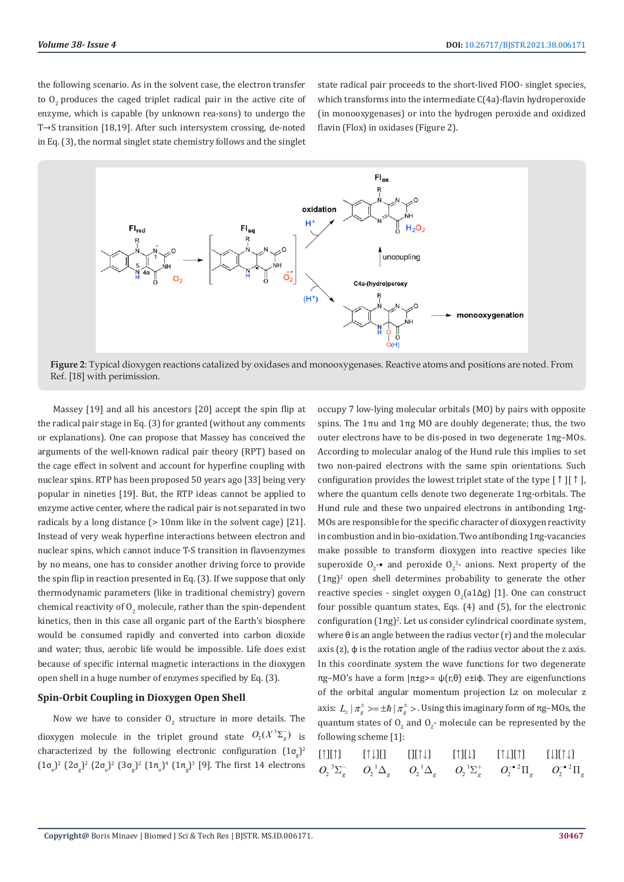the following scenario. As in the solvent case, the electron transfer to 0, produces the caged triplet radical pair in the active cite of enzyme, which is capable (by unknown rea-sons) to undergo the T→S transition [18,19]. After such intersystem crossing, de-noted in Eq. (3), the normal singlet state chemistry follows and the singlet

state radical pair proceeds to the short-lived FlOO- singlet species, which transforms into the intermediate C(4a)-flavin hydroperoxide (in monooxygenases) or into the hydrogen peroxide and oxidized flavin (Flox) in oxidases (Figure 2).



**Figure 2**: Typical dioxygen reactions catalized by oxidases and monooxygenases. Reactive atoms and positions are noted. From Ref. [18] with perimission.

Massey [19] and all his ancestors [20] accept the spin flip at the radical pair stage in Eq. (3) for granted (without any comments or explanations). One can propose that Massey has conceived the arguments of the well-known radical pair theory (RPT) based on the cage effect in solvent and account for hyperfine coupling with nuclear spins. RTP has been proposed 50 years ago [33] being very popular in nineties [19]. But, the RTP ideas cannot be applied to enzyme active center, where the radical pair is not separated in two radicals by a long distance (> 10nm like in the solvent cage) [21]. Instead of very weak hyperfine interactions between electron and nuclear spins, which cannot induce T-S transition in flavoenzymes by no means, one has to consider another driving force to provide the spin flip in reaction presented in Eq. (3). If we suppose that only thermodynamic parameters (like in traditional chemistry) govern chemical reactivity of  $O_2$  molecule, rather than the spin-dependent kinetics, then in this case all organic part of the Earth's biosphere would be consumed rapidly and converted into carbon dioxide and water; thus, aerobic life would be impossible. Life does exist because of specific internal magnetic interactions in the dioxygen open shell in a huge number of enzymes specified by Eq. (3).

## **Spin-Orbit Coupling in Dioxygen Open Shell**

Now we have to consider  $O_2$  structure in more details. The dioxygen molecule in the triplet ground state  $O_2(X^3\Sigma_g^-)$  is characterized by the following electronic configuration  $(1\sigma_g)^2$  $(1\sigma_{\rm u})^2$   $(2\sigma_{\rm g})^2$   $(2\sigma_{\rm u})^2$   $(3\sigma_{\rm g})^2$   $(1\pi_{\rm u})^4$   $(1\pi_{\rm g})^3$  [9]. The first 14 electrons occupy 7 low-lying molecular orbitals (MO) by pairs with opposite spins. The  $1πu$  and  $1πg$  MO are doubly degenerate; thus, the two outer electrons have to be dis-posed in two degenerate 1πg–MOs. According to molecular analog of the Hund rule this implies to set two non-paired electrons with the same spin orientations. Such configuration provides the lowest triplet state of the type  $\lceil \uparrow \rceil \lceil \uparrow \uparrow \rceil$ , where the quantum cells denote two degenerate 1πg-orbitals. The Hund rule and these two unpaired electrons in antibonding 1πg-MOs are responsible for the specific character of dioxygen reactivity in combustion and in bio-oxidation. Two antibonding 1πg-vacancies make possible to transform dioxygen into reactive species like superoxide  $0_2$ -• and peroxide  $0_2^2$ - anions. Next property of the  $(1\pi g)^2$  open shell determines probability to generate the other reactive species - singlet oxygen  $O_2$ (a1 $\Delta$ g) [1]. One can construct four possible quantum states, Eqs. (4) and (5), for the electronic configuration  $(1πg)^2$ . Let us consider cylindrical coordinate system, where θ is an angle between the radius vector (r) and the molecular axis (z), φ is the rotation angle of the radius vector about the z axis. In this coordinate system the wave functions for two degenerate πg–MO's have a form |π±g>= ψ(r,θ) e±iφ. They are eigenfunctions of the orbital angular momentum projection Lz on molecular z axis:  $L_z | \pi_e^{\pm} \rangle = \pm \hbar | \pi_e^{\pm} \rangle$ . Using this imaginary form of πg–MOs, the quantum states of  $O_2$  and  $O_2$ - molecule can be represented by the following scheme [1]:

|  |  | [↑][↑]       [↑↓][]       [][↑↓]      [↑][↓]      [↑↓][↑]       [↓][↑↓]                                                                                                                            |  |
|--|--|----------------------------------------------------------------------------------------------------------------------------------------------------------------------------------------------------|--|
|  |  | $O_2^{\phantom{2}3}\Sigma_{g}^ O_2^{\phantom{2}1}\Delta_{g}$ $O_2^{\phantom{2}1}\Delta_{g}$ $O_2^{\phantom{2}1}\Sigma_{g}^+$ $O_2^{-\bullet\phantom{2}}\Pi_{g}$ $O_2^{-\bullet\phantom{2}}\Pi_{g}$ |  |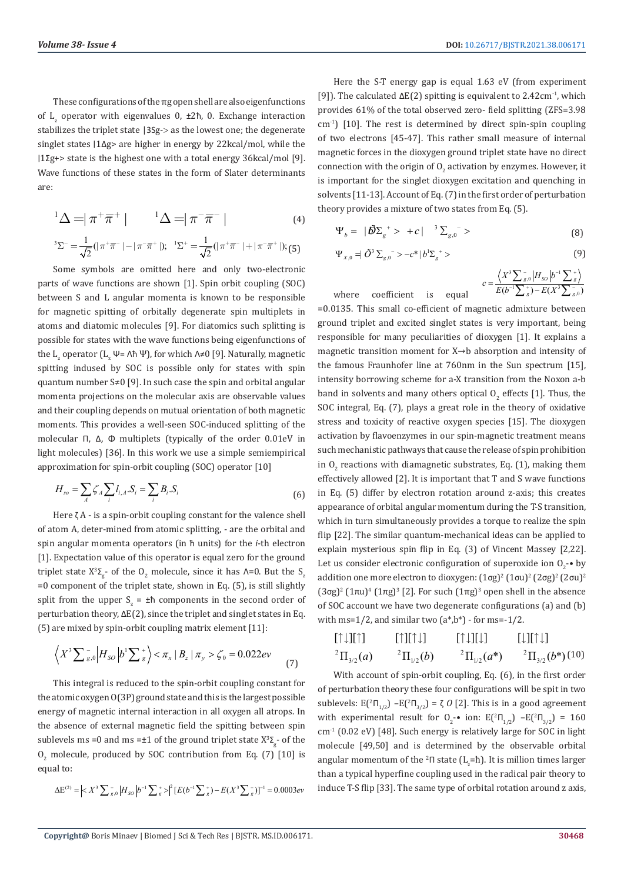These configurations of the πg open shell are also eigenfunctions of  $L_z$  operator with eigenvalues 0,  $\pm 2\hbar$ , 0. Exchange interaction stabilizes the triplet state |3Sg-> as the lowest one; the degenerate singlet states ∣1Δg> are higher in energy by 22kcal/mol, while the ∣1Σg+> state is the highest one with a total energy 36kcal/mol [9]. Wave functions of these states in the form of Slater determinants are:

$$
{}^{1}\Delta = |\pi^{+}\overline{\pi}^{+}| \qquad {}^{1}\Delta = |\pi^{-}\overline{\pi}^{-}| \qquad (4)
$$

$$
{}^{3}\Sigma^{-} = \frac{1}{\sqrt{2}}(|\pi^{+}\overline{\pi}^{-}| - |\pi^{-}\overline{\pi}^{+}|); \quad {}^{1}\Sigma^{+} = \frac{1}{\sqrt{2}}(|\pi^{+}\overline{\pi}^{-}| + |\pi^{-}\overline{\pi}^{+}|);
$$
(5)

Some symbols are omitted here and only two-electronic parts of wave functions are shown [1]. Spin orbit coupling (SOC) between S and L angular momenta is known to be responsible for magnetic spitting of orbitally degenerate spin multiplets in atoms and diatomic molecules [9]. For diatomics such splitting is possible for states with the wave functions being eigenfunctions of the L<sub>z</sub> operator (L<sub>z</sub> Ψ= Λħ Ψ), for which Λ≠0 [9]. Naturally, magnetic spitting indused by SOC is possible only for states with spin quantum number S≠0 [9]. In such case the spin and orbital angular momenta projections on the molecular axis are observable values and their coupling depends on mutual orientation of both magnetic moments. This provides a well-seen SOC-induced splitting of the molecular Π, Δ, Φ multiplets (typically of the order 0.01eV in light molecules) [36]. In this work we use a simple semiempirical approximation for spin-orbit coupling (SOC) operator [10]

$$
H_{so} = \sum_{A} \zeta_{A} \sum_{i} l_{i,A} \cdot S_{i} = \sum_{i} B_{i} \cdot S_{i}
$$
 (6)

Here ζ А - is a spin-orbit coupling constant for the valence shell of atom A, deter-mined from atomic splitting, - are the orbital and spin angular momenta operators (in ћ units) for the *i*-th electron [1]. Expectation value of this operator is equal zero for the ground triplet state  $X^3\Sigma_g$ - of the  $O_2$  molecule, since it has  $\Lambda$ =0. But the  $S_z$ =0 component of the triplet state, shown in Eq. (5), is still slightly split from the upper  $S_z = \pm \hbar$  components in the second order of perturbation theory, ΔE(2), since the triplet and singlet states in Eq. (5) are mixed by spin-orbit coupling matrix element [11]:

$$
\left\langle X^3 \sum_{s,0}^{-} \left| H_{SO} \left| b^1 \sum_{s}^{+} \right\rangle \right\rangle < \pi_x \left| B_z \left| \pi_y \right\rangle < \zeta_0 = 0.022 \, \text{eV} \tag{7}
$$

This integral is reduced to the spin-orbit coupling constant for the atomic oxygen O(3P) ground state and this is the largest possible energy of magnetic internal interaction in all oxygen all atrops. In the absence of external magnetic field the spitting between spin sublevels ms =0 and ms =±1 of the ground triplet state  $X^3\Sigma_g$ - of the  $O_2$  molecule, produced by SOC contribution from Eq. (7) [10] is equal to:

$$
\Delta {\rm E}^{(2)} = \left| \right|^2 \left[E(b^{-1} \sum {}^{\text{+}}_{g}) - E(X^3 \sum {}^{\text{--}}_{g}) \right]^{-1} \right. = 0.0003 e
$$

Here the S-T energy gap is equal 1.63 eV (from experiment [9]). The calculated  $\Delta E(2)$  spitting is equivalent to 2.42cm<sup>-1</sup>, which provides 61% of the total observed zero- field splitting (ZFS=3.98 cm-1) [10]. The rest is determined by direct spin-spin coupling of two electrons [45-47]. This rather small measure of internal magnetic forces in the dioxygen ground triplet state have no direct connection with the origin of  $O_2$  activation by enzymes. However, it is important for the singlet dioxygen excitation and quenching in solvents [11-13]. Account of Eq. (7) in the first order of perturbation theory provides a mixture of two states from Eq. (5).

$$
\Psi_b = |\tilde{\mathbf{0}} \Sigma_g^+ > +c|^{-3} \Sigma_{g,0}^- > \tag{8}
$$

$$
\Psi_{x,0} = \tilde{O}^3 \sum_{g,0} \tilde{O}^3 - c^* |b^1 \Sigma_g^+ \rangle \tag{9}
$$

where coefficient is equal 
$$
c = \frac{\left\langle X^3 \sum_{s,0}^{-1} |H_{so}| b^{-1} \sum_{s}^{+} \right\rangle}{E(b^{-1} \sum_{s}^{+}) - E(X^3 \sum_{s}^{-})}
$$

=0.0135. This small co-efficient of magnetic admixture between ground triplet and excited singlet states is very important, being responsible for many peculiarities of dioxygen [1]. It explains a magnetic transition moment for X→b absorption and intensity of the famous Fraunhofer line at 760nm in the Sun spectrum [15], intensity borrowing scheme for a-X transition from the Noxon a-b band in solvents and many others optical  $O_2$  effects [1]. Thus, the SOC integral, Eq. (7), plays a great role in the theory of oxidative stress and toxicity of reactive oxygen species [15]. The dioxygen activation by flavoenzymes in our spin-magnetic treatment means such mechanistic pathways that cause the release of spin prohibition in  $O_2$  reactions with diamagnetic substrates, Eq. (1), making them effectively allowed [2]. It is important that T and S wave functions in Eq. (5) differ by electron rotation around z-axis; this creates appearance of orbital angular momentum during the T-S transition, which in turn simultaneously provides a torque to realize the spin flip [22]. The similar quantum-mechanical ideas can be applied to explain mysterious spin flip in Eq. (3) of Vincent Massey [2,22]. Let us consider electronic configuration of superoxide ion  $O_2$ -• by addition one more electron to dioxygen:  $(1 \sigma g)^2 (1 \sigma u)^2 (2 \sigma g)^2 (2 \sigma u)^2$  $(3σg)<sup>2</sup> (1πu)<sup>4</sup> (1πg)<sup>3</sup> [2]$ . For such  $(1πg)<sup>3</sup>$  open shell in the absence of SOC account we have two degenerate configurations (a) and (b) with ms= $1/2$ , and similar two  $(a*,b^*)$  - for ms= $-1/2$ .

2222 3/2 1/2 1/2 3/2 [ ][ ] [ ][ ] [ ][ ] [ ][ ] ( ) ( ) ( \*) ( \*) *ab a b* ¯ ¯ ¯ ¯ ¯ ¯ PPPP (10)

With account of spin-orbit coupling, Eq. (6), in the first order of perturbation theory these four configurations will be spit in two sublevels:  $E(^{2}\Pi_{1/2}) - E(^{2}\Pi_{3/2}) = \zeta O$  [2]. This is in a good agreement with experimental result for  $O_2$ -• ion:  $E(^{2}\Pi_{1/2}) - E(^{2}\Pi_{3/2}) = 160$ cm-1 (0.02 eV) [48]. Such energy is relatively large for SOC in light molecule [49,50] and is determined by the observable orbital angular momentum of the <sup>2</sup> $\Pi$  state (L<sub>z</sub>=ħ). It is million times larger than a typical hyperfine coupling used in the radical pair theory to induce T-S flip [33]. The same type of orbital rotation around z axis,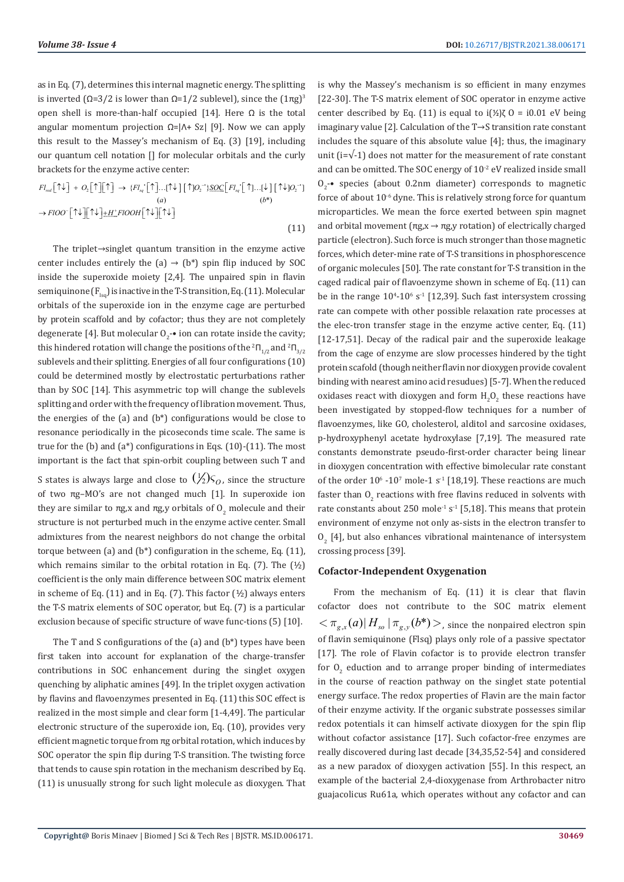as in Eq. (7), determines this internal magnetic energy. The splitting is inverted ( $Ω=3/2$  is lower than  $Ω=1/2$  sublevel), since the  $(1πg)<sup>3</sup>$ open shell is more-than-half occupied [14]. Here Ω is the total angular momentum projection Ω=|Λ+ Sz| [9]. Now we can apply this result to the Massey's mechanism of Eq. (3) [19], including our quantum cell notation [] for molecular orbitals and the curly brackets for the enzyme active center:

$$
Fl_{rel}[\uparrow\downarrow] + O_2[\uparrow][\uparrow] \rightarrow \{Fl_{sq}[\uparrow]...\uparrow\downarrow\}[\uparrow]O_2^{-1}\underline{SOC}[\left Fl_{sq}[\uparrow]\ldots[\downarrow][\uparrow\downarrow]O_2^{-1}]
$$
  
\n(a) (b\*)  
\n
$$
\rightarrow FIOO^{-}[\uparrow\downarrow][\uparrow\downarrow]\pm H^+FIOOH[\uparrow\downarrow][\uparrow\downarrow]
$$
  
\n(11)

The triplet→singlet quantum transition in the enzyme active center includes entirely the (a)  $\rightarrow$  (b\*) spin flip induced by SOC inside the superoxide moiety [2,4]. The unpaired spin in flavin semiquinone  $(F_{\text{lsq}})$  is inactive in the T-S transition, Eq. (11). Molecular orbitals of the superoxide ion in the enzyme cage are perturbed by protein scaffold and by cofactor; thus they are not completely degenerate [4]. But molecular  $O_2$   $\bullet$  ion can rotate inside the cavity; this hindered rotation will change the positions of the  ${}^2\Pi_{1/2}$  and  ${}^2\Pi_{3/2}$ sublevels and their splitting. Energies of all four configurations (10) could be determined mostly by electrostatic perturbations rather than by SOC [14]. This asymmetric top will change the sublevels splitting and order with the frequency of libration movement. Thus, the energies of the (a) and (b\*) configurations would be close to resonance periodically in the picoseconds time scale. The same is true for the  $(b)$  and  $(a^*)$  configurations in Eqs.  $(10)-(11)$ . The most important is the fact that spin-orbit coupling between such T and S states is always large and close to  $(\frac{1}{2})\zeta_0$ , since the structure

of two πg–MO's are not changed much [1]. In superoxide ion they are similar to πg,x and πg,y orbitals of  $O_2$  molecule and their structure is not perturbed much in the enzyme active center. Small admixtures from the nearest neighbors do not change the orbital torque between (a) and  $(b^*)$  configuration in the scheme, Eq.  $(11)$ , which remains similar to the orbital rotation in Eq.  $(7)$ . The  $(½)$ coefficient is the only main difference between SOC matrix element in scheme of Eq.  $(11)$  and in Eq.  $(7)$ . This factor  $(1/2)$  always enters the T-S matrix elements of SOC operator, but Eq. (7) is a particular exclusion because of specific structure of wave func-tions (5) [10].

The T and S configurations of the (a) and (b\*) types have been first taken into account for explanation of the charge-transfer contributions in SOC enhancement during the singlet oxygen quenching by aliphatic amines [49]. In the triplet oxygen activation by flavins and flavoenzymes presented in Eq. (11) this SOC effect is realized in the most simple and clear form [1-4,49]. The particular electronic structure of the superoxide ion, Eq. (10), provides very efficient magnetic torque from πg orbital rotation, which induces by SOC operator the spin flip during T-S transition. The twisting force that tends to cause spin rotation in the mechanism described by Eq. (11) is unusually strong for such light molecule as dioxygen. That is why the Massey's mechanism is so efficient in many enzymes [22-30]. The T-S matrix element of SOC operator in enzyme active center described by Eq. (11) is equal to  $i$ (½)ζ 0 = i0.01 eV being imaginary value [2]. Calculation of the T→S transition rate constant includes the square of this absolute value [4]; thus, the imaginary unit ( $i=\sqrt{-1}$ ) does not matter for the measurement of rate constant and can be omitted. The SOC energy of  $10<sup>-2</sup>$  eV realized inside small  $O_2$  - species (about 0.2nm diameter) corresponds to magnetic force of about 10<sup>-6</sup> dyne. This is relatively strong force for quantum microparticles. We mean the force exerted between spin magnet and orbital movement  $(\pi g_x x \rightarrow \pi g_y y)$  rotation) of electrically charged particle (electron). Such force is much stronger than those magnetic forces, which deter-mine rate of T-S transitions in phosphorescence of organic molecules [50]. The rate constant for T-S transition in the caged radical pair of flavoenzyme shown in scheme of Eq. (11) can be in the range  $10^{4}$ - $10^{6}$  s<sup>-1</sup> [12,39]. Such fast intersystem crossing rate can compete with other possible relaxation rate processes at the elec-tron transfer stage in the enzyme active center, Eq. (11) [12-17,51]. Decay of the radical pair and the superoxide leakage from the cage of enzyme are slow processes hindered by the tight protein scafold (though neither flavin nor dioxygen provide covalent binding with nearest amino acid resudues) [5-7]. When the reduced oxidases react with dioxygen and form  $H_2O_2$  these reactions have been investigated by stopped-flow techniques for a number of flavoenzymes, like GO, cholesterol, alditol and sarcosine oxidases, p-hydroxyphenyl acetate hydroxylase [7,19]. The measured rate constants demonstrate pseudo-first-order character being linear in dioxygen concentration with effective bimolecular rate constant of the order  $10^6$  -10<sup>7</sup> mole-1  $s^{-1}$  [18,19]. These reactions are much faster than  $O_2$  reactions with free flavins reduced in solvents with rate constants about 250 mole<sup>-1</sup> s<sup>-1</sup> [5,18]. This means that protein environment of enzyme not only as-sists in the electron transfer to  $O_2$  [4], but also enhances vibrational maintenance of intersystem crossing process [39].

## **Cofactor-Independent Oxygenation**

From the mechanism of Eq. (11) it is clear that flavin cofactor does not contribute to the SOC matrix element  $<$   $\pi_{\varrho, x}(a)$   $H_{so}$   $|\pi_{\varrho, y}(b^*)>$ , since the nonpaired electron spin of flavin semiquinone (Flsq) plays only role of a passive spectator [17]. The role of Flavin cofactor is to provide electron transfer for  $O_2$  eduction and to arrange proper binding of intermediates in the course of reaction pathway on the singlet state potential energy surface. The redox properties of Flavin are the main factor of their enzyme activity. If the organic substrate possesses similar redox potentials it can himself activate dioxygen for the spin flip without cofactor assistance [17]. Such cofactor-free enzymes are really discovered during last decade [34,35,52-54] and considered as a new paradox of dioxygen activation [55]. In this respect, an example of the bacterial 2,4-dioxygenase from Arthrobacter nitro guajacolicus Ru61a, which operates without any cofactor and can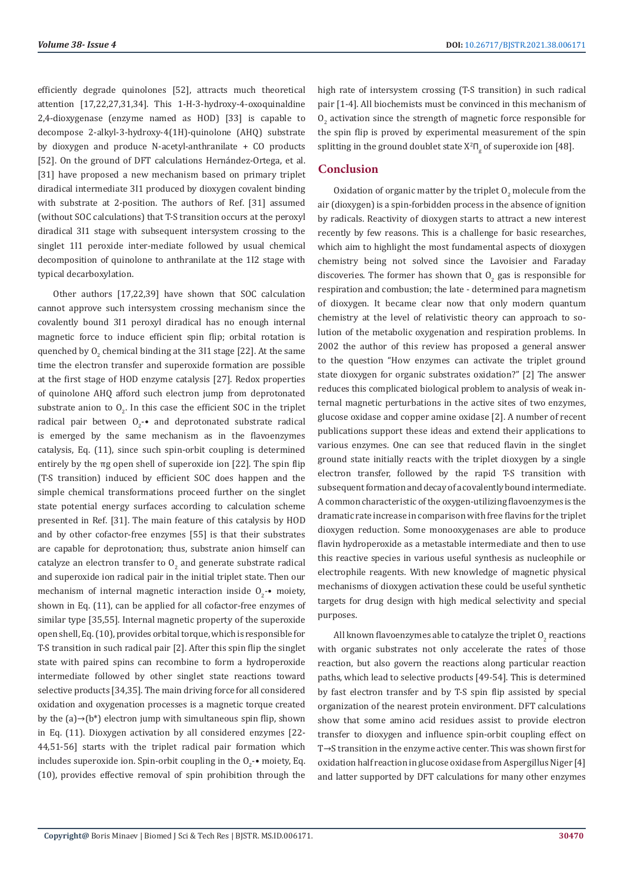efficiently degrade quinolones [52], attracts much theoretical attention [17,22,27,31,34]. This 1-H-3-hydroxy-4-oxoquinaldine 2,4-dioxygenase (enzyme named as HOD) [33] is capable to decompose 2-alkyl-3-hydroxy-4(1H)-quinolone (AHQ) substrate by dioxygen and produce N-acetyl-anthranilate + CO products [52]. On the ground of DFT calculations Hernández-Ortega, et al. [31] have proposed a new mechanism based on primary triplet diradical intermediate 3I1 produced by dioxygen covalent binding with substrate at 2-position. The authors of Ref. [31] assumed (without SOC calculations) that T-S transition occurs at the peroxyl diradical 3I1 stage with subsequent intersystem crossing to the singlet 1I1 peroxide inter-mediate followed by usual chemical decomposition of quinolone to anthranilate at the 1I2 stage with typical decarboxylation.

Other authors [17,22,39] have shown that SOC calculation cannot approve such intersystem crossing mechanism since the covalently bound 3I1 peroxyl diradical has no enough internal magnetic force to induce efficient spin flip; orbital rotation is quenched by  $0_2$  chemical binding at the 311 stage [22]. At the same time the electron transfer and superoxide formation are possible at the first stage of HOD enzyme catalysis [27]. Redox properties of quinolone AHQ afford such electron jump from deprotonated substrate anion to  $O_2$ . In this case the efficient SOC in the triplet radical pair between  $O_2$ -• and deprotonated substrate radical is emerged by the same mechanism as in the flavoenzymes catalysis, Eq. (11), since such spin-orbit coupling is determined entirely by the πg open shell of superoxide ion [22]. The spin flip (T-S transition) induced by efficient SOC does happen and the simple chemical transformations proceed further on the singlet state potential energy surfaces according to calculation scheme presented in Ref. [31]. The main feature of this catalysis by HOD and by other cofactor-free enzymes [55] is that their substrates are capable for deprotonation; thus, substrate anion himself can catalyze an electron transfer to  $0_{2}$  and generate substrate radical and superoxide ion radical pair in the initial triplet state. Then our mechanism of internal magnetic interaction inside  $O_2$ -• moiety, shown in Eq. (11), can be applied for all cofactor-free enzymes of similar type [35,55]. Internal magnetic property of the superoxide open shell, Eq. (10), provides orbital torque, which is responsible for T-S transition in such radical pair [2]. After this spin flip the singlet state with paired spins can recombine to form a hydroperoxide intermediate followed by other singlet state reactions toward selective products [34,35]. The main driving force for all considered oxidation and oxygenation processes is a magnetic torque created by the  $(a) \rightarrow (b^*)$  electron jump with simultaneous spin flip, shown in Eq. (11). Dioxygen activation by all considered enzymes [22- 44,51-56] starts with the triplet radical pair formation which includes superoxide ion. Spin-orbit coupling in the  $O_2$ - $\bullet$  moiety, Eq. (10), provides effective removal of spin prohibition through the

high rate of intersystem crossing (T-S transition) in such radical pair [1-4]. All biochemists must be convinced in this mechanism of  $O_2$  activation since the strength of magnetic force responsible for the spin flip is proved by experimental measurement of the spin splitting in the ground doublet state  $X^2\Pi_{\rm g}$  of superoxide ion [48].

# **Conclusion**

Oxidation of organic matter by the triplet  $O_2$  molecule from the air (dioxygen) is a spin-forbidden process in the absence of ignition by radicals. Reactivity of dioxygen starts to attract a new interest recently by few reasons. This is a challenge for basic researches, which aim to highlight the most fundamental aspects of dioxygen chemistry being not solved since the Lavoisier and Faraday discoveries. The former has shown that  $O_2$  gas is responsible for respiration and combustion; the late - determined para magnetism of dioxygen. It became clear now that only modern quantum chemistry at the level of relativistic theory can approach to solution of the metabolic oxygenation and respiration problems. In 2002 the author of this review has proposed a general answer to the question "How enzymes can activate the triplet ground state dioxygen for organic substrates oxidation?" [2] The answer reduces this complicated biological problem to analysis of weak internal magnetic perturbations in the active sites of two enzymes, glucose oxidase and copper amine oxidase [2]. A number of recent publications support these ideas and extend their applications to various enzymes. One can see that reduced flavin in the singlet ground state initially reacts with the triplet dioxygen by a single electron transfer, followed by the rapid T-S transition with subsequent formation and decay of a covalently bound intermediate. A common characteristic of the oxygen-utilizing flavoenzymes is the dramatic rate increase in comparison with free flavins for the triplet dioxygen reduction. Some monooxygenases are able to produce flavin hydroperoxide as a metastable intermediate and then to use this reactive species in various useful synthesis as nucleophile or electrophile reagents. With new knowledge of magnetic physical mechanisms of dioxygen activation these could be useful synthetic targets for drug design with high medical selectivity and special purposes.

All known flavoenzymes able to catalyze the triplet  $O_2$  reactions with organic substrates not only accelerate the rates of those reaction, but also govern the reactions along particular reaction paths, which lead to selective products [49-54]. This is determined by fast electron transfer and by T-S spin flip assisted by special organization of the nearest protein environment. DFT calculations show that some amino acid residues assist to provide electron transfer to dioxygen and influence spin-orbit coupling effect on T→S transition in the enzyme active center. This was shown first for oxidation half reaction in glucose oxidase from Aspergillus Niger [4] and latter supported by DFT calculations for many other enzymes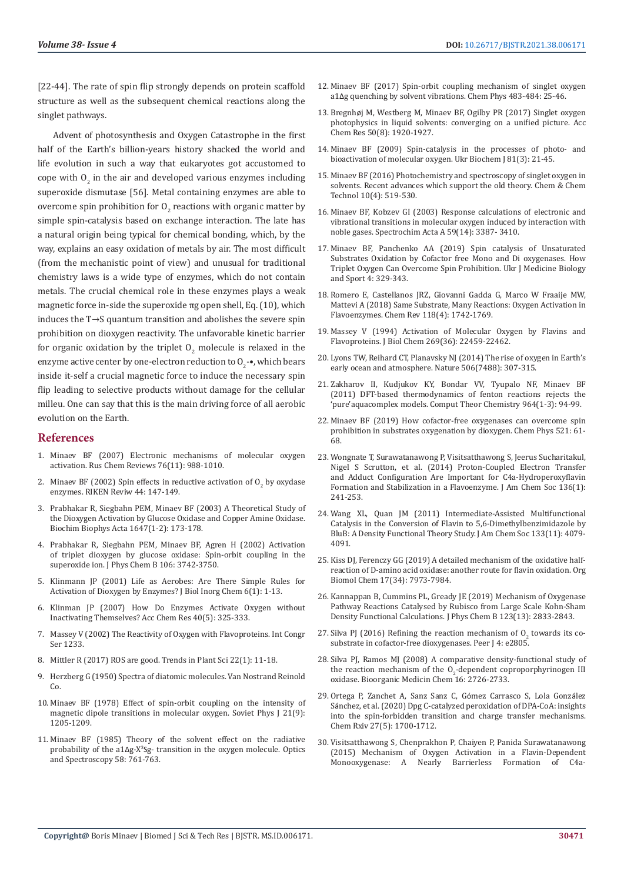[22-44]. The rate of spin flip strongly depends on protein scaffold structure as well as the subsequent chemical reactions along the singlet pathways.

Advent of photosynthesis and Oxygen Catastrophe in the first half of the Earth's billion-years history shacked the world and life evolution in such a way that eukaryotes got accustomed to cope with  $O_2$  in the air and developed various enzymes including superoxide dismutase [56]. Metal containing enzymes are able to overcome spin prohibition for  $O_2$  reactions with organic matter by simple spin-catalysis based on exchange interaction. The late has a natural origin being typical for chemical bonding, which, by the way, explains an easy oxidation of metals by air. The most difficult (from the mechanistic point of view) and unusual for traditional chemistry laws is a wide type of enzymes, which do not contain metals. The crucial chemical role in these enzymes plays a weak magnetic force in-side the superoxide πg open shell, Eq. (10), which induces the T→S quantum transition and abolishes the severe spin prohibition on dioxygen reactivity. The unfavorable kinetic barrier for organic oxidation by the triplet  $\boldsymbol{0}_2$  molecule is relaxed in the enzyme active center by one-electron reduction to  ${\rm O}_{2}$ -•, which bears inside it-self a crucial magnetic force to induce the necessary spin flip leading to selective products without damage for the cellular milleu. One can say that this is the main driving force of all aerobic evolution on the Earth.

#### **References**

- 1. [Minaev BF \(2007\) Electronic mechanisms of molecular oxygen](https://ui.adsabs.harvard.edu/abs/2007RuCRv..76.1059M/abstract)  [activation. Rus Chem Reviews 76\(11\): 988-1010.](https://ui.adsabs.harvard.edu/abs/2007RuCRv..76.1059M/abstract)
- 2. Minaev BF (2002) Spin effects in reductive activation of  $O_2$  by oxydase [enzymes. RIKEN Reviw 44: 147-149.](http://citeseerx.ist.psu.edu/viewdoc/download?doi=10.1.1.222.6686&rep=rep1&type=pdf)
- 3. [Prabhakar R, Siegbahn PEM, Minaev BF \(2003\) A Theoretical Study of](https://pubmed.ncbi.nlm.nih.gov/12686129/)  [the Dioxygen Activation by Glucose Oxidase and Copper Amine Oxidase.](https://pubmed.ncbi.nlm.nih.gov/12686129/)  [Biochim Biophys Acta 1647\(1-2\): 173-178.](https://pubmed.ncbi.nlm.nih.gov/12686129/)
- 4. [Prabhakar R, Siegbahn PEM, Minaev BF, Agren H \(2002\) Activation](http://citeseerx.ist.psu.edu/viewdoc/download?doi=10.1.1.535.5963&rep=rep1&type=pdf)  [of triplet dioxygen by glucose oxidase: Spin-orbit coupling in the](http://citeseerx.ist.psu.edu/viewdoc/download?doi=10.1.1.535.5963&rep=rep1&type=pdf)  [superoxide ion. J Phys Chem B 106: 3742-3750.](http://citeseerx.ist.psu.edu/viewdoc/download?doi=10.1.1.535.5963&rep=rep1&type=pdf)
- 5. [Klinmann JP \(2001\) Life as Aerobes: Are There Simple Rules for](https://pubmed.ncbi.nlm.nih.gov/11191216/)  [Activation of Dioxygen by Enzymes? J Biol Inorg Chem 6\(1\): 1-13.](https://pubmed.ncbi.nlm.nih.gov/11191216/)
- 6. [Klinman JP \(2007\) How Do Enzymes Activate Oxygen without](https://pubs.acs.org/doi/abs/10.1021/ar6000507)  [Inactivating Themselves? Acc Chem Res 40\(5\): 325-333.](https://pubs.acs.org/doi/abs/10.1021/ar6000507)
- 7. [Massey V \(2002\) The Reactivity of Oxygen with Flavoproteins. Int Congr](https://www.infona.pl/resource/bwmeta1.element.elsevier-72c785ff-1884-3f97-917c-276b0816eeeb)  [Ser 1233.](https://www.infona.pl/resource/bwmeta1.element.elsevier-72c785ff-1884-3f97-917c-276b0816eeeb)
- 8. [Mittler R \(2017\) ROS are good. Trends in Plant Sci 22\(1\): 11-18.](https://pubmed.ncbi.nlm.nih.gov/27666517/)
- 9. Herzberg G (1950) Spectra of diatomic molecules. Van Nostrand Reinold Co.
- 10. [Minaev BF \(1978\) Effect of spin-orbit coupling on the intensity of](https://www.researchgate.net/publication/227248028_Effect_of_spin-orbit_coupling_on_the_intensity_of_magnetic_dipole_transitions_in_molecular_oxygen)  [magnetic dipole transitions in molecular oxygen. Soviet Phys J 21\(9\):](https://www.researchgate.net/publication/227248028_Effect_of_spin-orbit_coupling_on_the_intensity_of_magnetic_dipole_transitions_in_molecular_oxygen)  [1205-1209.](https://www.researchgate.net/publication/227248028_Effect_of_spin-orbit_coupling_on_the_intensity_of_magnetic_dipole_transitions_in_molecular_oxygen)
- 11. Minaev BF (1985) Theory of the solvent effect on the radiative probability of the a1Δg-X<sup>3</sup> Sg- transition in the oxygen molecule. Optics and Spectroscopy 58: 761-763.
- 12. [Minaev BF \(2017\) Spin-orbit coupling mechanism of singlet oxygen](https://www.infona.pl/resource/bwmeta1.element.elsevier-513bfe96-a207-3561-9ed1-99b8d5c596b8) a1Δ[g quenching by solvent vibrations. Chem Phys 483-484: 25-46.](https://www.infona.pl/resource/bwmeta1.element.elsevier-513bfe96-a207-3561-9ed1-99b8d5c596b8)
- 13. Bregnhø[j M, Westberg M, Minaev BF, Ogilby PR \(2017\) Singlet oxygen](https://pubs.acs.org/doi/10.1021/acs.accounts.7b00169) [photophysics in liquid solvents: converging on a unified picture. Acc](https://pubs.acs.org/doi/10.1021/acs.accounts.7b00169) [Chem Res 50\(8\): 1920-1927.](https://pubs.acs.org/doi/10.1021/acs.accounts.7b00169)
- 14. [Minaev BF \(2009\) Spin-catalysis in the processes of photo- and](https://pubmed.ncbi.nlm.nih.gov/19877428/) [bioactivation of molecular oxygen. Ukr Biochem J 81\(3\): 21-45.](https://pubmed.ncbi.nlm.nih.gov/19877428/)
- 15. [Minaev BF \(2016\) Photochemistry and spectroscopy of singlet oxygen in](https://www.researchgate.net/publication/313323513_Photochemistry_and_Spectroscopy_of_Singlet_Oxygen_in_Solvents_Recent_Advances_which_Support_the_Old_Theory) [solvents. Recent advances which support the old theory. Chem & Chem](https://www.researchgate.net/publication/313323513_Photochemistry_and_Spectroscopy_of_Singlet_Oxygen_in_Solvents_Recent_Advances_which_Support_the_Old_Theory) [Technol 10\(4\): 519-530.](https://www.researchgate.net/publication/313323513_Photochemistry_and_Spectroscopy_of_Singlet_Oxygen_in_Solvents_Recent_Advances_which_Support_the_Old_Theory)
- 16. [Minaev BF, Kobzev GI \(2003\) Response calculations of electronic and](https://pubmed.ncbi.nlm.nih.gov/14607236/) [vibrational transitions in molecular oxygen induced by interaction with](https://pubmed.ncbi.nlm.nih.gov/14607236/) [noble gases. Spectrochim Acta A 59\(14\): 3387- 3410.](https://pubmed.ncbi.nlm.nih.gov/14607236/)
- 17. [Minaev BF, Panchenko AA \(2019\) Spin catalysis of Unsaturated](https://www.semanticscholar.org/paper/Spin%E2%80%93catalysis-of-Unsaturated-Substrates-Oxidation-Minaev-Panchenko/42e3c6a95e6fbf8b242ebbc7996288baf6d63354) [Substrates Oxidation by Cofactor free Mono and Di oxygenases. How](https://www.semanticscholar.org/paper/Spin%E2%80%93catalysis-of-Unsaturated-Substrates-Oxidation-Minaev-Panchenko/42e3c6a95e6fbf8b242ebbc7996288baf6d63354) [Triplet Oxygen Can Overcome Spin Prohibition. Ukr J Medicine Biology](https://www.semanticscholar.org/paper/Spin%E2%80%93catalysis-of-Unsaturated-Substrates-Oxidation-Minaev-Panchenko/42e3c6a95e6fbf8b242ebbc7996288baf6d63354) [and Sport 4: 329-343.](https://www.semanticscholar.org/paper/Spin%E2%80%93catalysis-of-Unsaturated-Substrates-Oxidation-Minaev-Panchenko/42e3c6a95e6fbf8b242ebbc7996288baf6d63354)
- 18. [Romero E, Castellanos JRZ, Giovanni Gadda G, Marco W Fraaije MW,](https://pubmed.ncbi.nlm.nih.gov/29323892/) [Mattevi A \(2018\) Same Substrate, Many Reactions: Oxygen Activation in](https://pubmed.ncbi.nlm.nih.gov/29323892/) [Flavoenzymes. Chem Rev 118\(4\): 1742-1769.](https://pubmed.ncbi.nlm.nih.gov/29323892/)
- 19. [Massey V \(1994\) Activation of Molecular Oxygen by Flavins and](https://pubmed.ncbi.nlm.nih.gov/8077188/) [Flavoproteins. J Biol Chem 269\(36\): 22459-22462.](https://pubmed.ncbi.nlm.nih.gov/8077188/)
- 20. [Lyons TW, Reihard CT, Planavsky NJ \(2014\) The rise of oxygen in Earth's](https://pubmed.ncbi.nlm.nih.gov/24553238/) [early ocean and atmosphere. Nature 506\(7488\): 307-315.](https://pubmed.ncbi.nlm.nih.gov/24553238/)
- 21. [Zakharov II, Kudjukov KY, Bondar VV, Tyupalo NF, Minaev BF](https://www.sciencedirect.com/science/article/abs/pii/S2210271X10007577) [\(2011\) DFT-based thermodynamics of fenton reactions rejects the](https://www.sciencedirect.com/science/article/abs/pii/S2210271X10007577) ['pure'aquacomplex models. Comput Theor Chemistry 964\(1-3\): 94-99.](https://www.sciencedirect.com/science/article/abs/pii/S2210271X10007577)
- 22. [Minaev BF \(2019\) How cofactor-free oxygenases can overcome spin](https://www.researchgate.net/publication/330614874_How_Cofactor-Free_Oxygenases_Can_Overcome_Spin_Prohibition_in_Substrates_Oxygenation_by_Dioxygen) [prohibition in substrates oxygenation by dioxygen. Chem Phys 521: 61-](https://www.researchgate.net/publication/330614874_How_Cofactor-Free_Oxygenases_Can_Overcome_Spin_Prohibition_in_Substrates_Oxygenation_by_Dioxygen) [68.](https://www.researchgate.net/publication/330614874_How_Cofactor-Free_Oxygenases_Can_Overcome_Spin_Prohibition_in_Substrates_Oxygenation_by_Dioxygen)
- 23. [Wongnate T, Surawatanawong P, Visitsatthawong S, Jeerus Sucharitakul,](https://pubs.acs.org/doi/10.1021/ja4088055) [Nigel S Scrutton, et al. \(2014\) Proton-Coupled Electron Transfer](https://pubs.acs.org/doi/10.1021/ja4088055) [and Adduct Configuration Are Important for C4a-Hydroperoxyflavin](https://pubs.acs.org/doi/10.1021/ja4088055) [Formation and Stabilization in a Flavoenzyme. J Am Chem Soc 136\(1\):](https://pubs.acs.org/doi/10.1021/ja4088055) [241-253.](https://pubs.acs.org/doi/10.1021/ja4088055)
- 24. [Wang XL, Quan JM \(2011\) Intermediate-Assisted Multifunctional](https://pubmed.ncbi.nlm.nih.gov/21344938/) [Catalysis in the Conversion of Flavin to 5,6-Dimethylbenzimidazole by](https://pubmed.ncbi.nlm.nih.gov/21344938/) [BluB: A Density Functional Theory Study. J Am Chem Soc 133\(11\): 4079-](https://pubmed.ncbi.nlm.nih.gov/21344938/) [4091.](https://pubmed.ncbi.nlm.nih.gov/21344938/)
- 25. [Kiss DJ, Ferenczy GG \(2019\) A detailed mechanism of the oxidative half](https://pubs.rsc.org/en/content/articlelanding/2019/ob/c9ob00975b)[reaction of D-amino acid oxidase: another route for flavin oxidation. Org](https://pubs.rsc.org/en/content/articlelanding/2019/ob/c9ob00975b) [Biomol Chem 17\(34\): 7973-7984.](https://pubs.rsc.org/en/content/articlelanding/2019/ob/c9ob00975b)
- 26. [Kannappan B, Cummins PL, Gready JE \(2019\) Mechanism of Oxygenase](https://pubmed.ncbi.nlm.nih.gov/30845802/) [Pathway Reactions Catalysed by Rubisco from Large Scale Kohn-Sham](https://pubmed.ncbi.nlm.nih.gov/30845802/) [Density Functional Calculations. J Phys Chem B 123\(13\): 2833-2843.](https://pubmed.ncbi.nlm.nih.gov/30845802/)
- 27. Silva PJ (2016) Refining the reaction mechanism of  $O<sub>2</sub>$  towards its co[substrate in cofactor-free dioxygenases. Peer J 4: e2805.](https://peerj.com/articles/2805/)
- 28. [Silva PJ, Ramos MJ \(2008\) A comparative density-functional study of](https://www.semanticscholar.org/paper/A-comparative-density-functional-study-of-the-of-Silva-Ramos/c7ad1e19edbe092d338930f3c64329888dd8f10f) the reaction mechanism of the  $O_2$ [-dependent coproporphyrinogen III](https://www.semanticscholar.org/paper/A-comparative-density-functional-study-of-the-of-Silva-Ramos/c7ad1e19edbe092d338930f3c64329888dd8f10f) [oxidase. Bioorganic Medicin Chem 16: 2726-2733.](https://www.semanticscholar.org/paper/A-comparative-density-functional-study-of-the-of-Silva-Ramos/c7ad1e19edbe092d338930f3c64329888dd8f10f)
- 29. [Ortega P, Zanchet A, Sanz Sanz C, G](https://pubmed.ncbi.nlm.nih.gov/32975323/)ómez Carrasco S, Lola González Sá[nchez, et al. \(2020\) Dpg C-catalyzed peroxidation of DPA-CoA: insights](https://pubmed.ncbi.nlm.nih.gov/32975323/) [into the spin-forbidden transition and charge transfer mechanisms.](https://pubmed.ncbi.nlm.nih.gov/32975323/) [Chem Rxiv 27\(5\): 1700-1712.](https://pubmed.ncbi.nlm.nih.gov/32975323/)
- 30. [Visitsatthawong S, Chenprakhon P, Chaiyen P, Panida Surawatanawong](https://pubs.acs.org/doi/abs/10.1021/jacs.5b04328) [\(2015\) Mechanism of Oxygen Activation in a Flavin-Dependent](https://pubs.acs.org/doi/abs/10.1021/jacs.5b04328) [Monooxygenase: A Nearly Barrierless Formation of C4a-](https://pubs.acs.org/doi/abs/10.1021/jacs.5b04328)